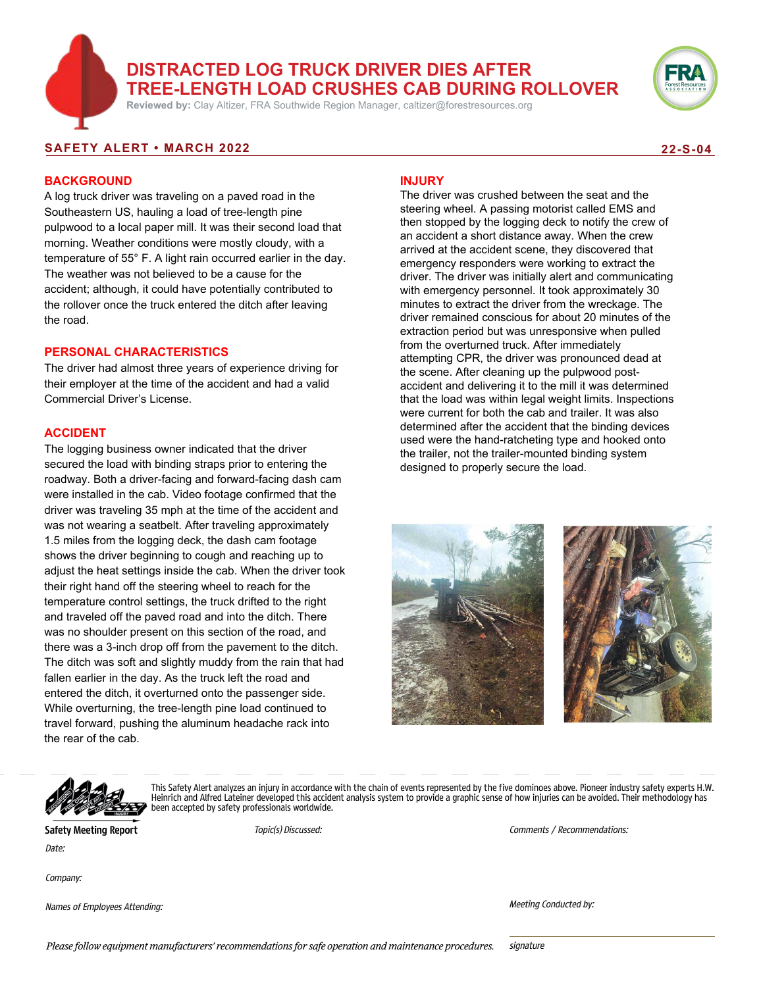# **DISTRACTED LOG TRUCK DRIVER DIES AFTER TREE-LENGTH LOAD CRUSHES CAB DURING ROLLOVER**

**Reviewed by:** Clay Altizer, FRA Southwide Region Manager, caltizer@forestresources.org



#### **SAFETY ALERT • MARCH 2022 22-S-04**

### **BACKGROUND**

A log truck driver was traveling on a paved road in the Southeastern US, hauling a load of tree-length pine pulpwood to a local paper mill. It was their second load that morning. Weather conditions were mostly cloudy, with a temperature of 55° F. A light rain occurred earlier in the day. The weather was not believed to be a cause for the accident; although, it could have potentially contributed to the rollover once the truck entered the ditch after leaving the road.

#### **PERSONAL CHARACTERISTICS**

The driver had almost three years of experience driving for their employer at the time of the accident and had a valid Commercial Driver's License.

#### **ACCIDENT**

The logging business owner indicated that the driver secured the load with binding straps prior to entering the roadway. Both a driver-facing and forward-facing dash cam were installed in the cab. Video footage confirmed that the driver was traveling 35 mph at the time of the accident and was not wearing a seatbelt. After traveling approximately 1.5 miles from the logging deck, the dash cam footage shows the driver beginning to cough and reaching up to adjust the heat settings inside the cab. When the driver took their right hand off the steering wheel to reach for the temperature control settings, the truck drifted to the right and traveled off the paved road and into the ditch. There was no shoulder present on this section of the road, and there was a 3-inch drop off from the pavement to the ditch. The ditch was soft and slightly muddy from the rain that had fallen earlier in the day. As the truck left the road and entered the ditch, it overturned onto the passenger side. While overturning, the tree-length pine load continued to travel forward, pushing the aluminum headache rack into the rear of the cab.

#### **INJURY**

The driver was crushed between the seat and the steering wheel. A passing motorist called EMS and then stopped by the logging deck to notify the crew of an accident a short distance away. When the crew arrived at the accident scene, they discovered that emergency responders were working to extract the driver. The driver was initially alert and communicating with emergency personnel. It took approximately 30 minutes to extract the driver from the wreckage. The driver remained conscious for about 20 minutes of the extraction period but was unresponsive when pulled from the overturned truck. After immediately attempting CPR, the driver was pronounced dead at the scene. After cleaning up the pulpwood postaccident and delivering it to the mill it was determined that the load was within legal weight limits. Inspections were current for both the cab and trailer. It was also determined after the accident that the binding devices used were the hand-ratcheting type and hooked onto the trailer, not the trailer-mounted binding system designed to properly secure the load.





This Safety Alert analyzes an injury in accordance with the chain of events represented by the five dominoes above. Pioneer industry safety experts H.W. Heinrich and Alfred Lateiner developed this accident analysis system to provide a graphic sense of how injuries can be avoided. Their methodology has been accepted by safety professionals worldwide.

**Safety Meeting Report** Date:

Topic(s) Discussed: Comments / Recommendations:

Company:

Names of Employees Attending:

Meeting Conducted by: